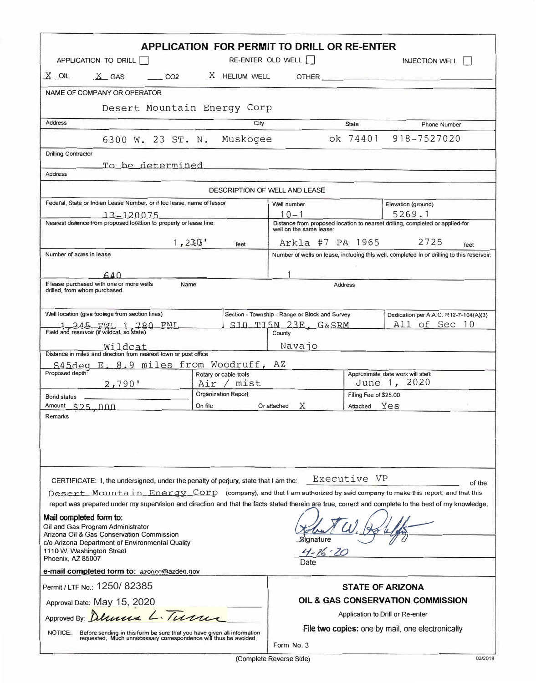| APPLICATION FOR PERMIT TO DRILL OR RE-ENTER                                                                                                                                                                                                           |                                     |                                                                |                                                                                                                                                                                                                                      |  |  |  |  |  |  |
|-------------------------------------------------------------------------------------------------------------------------------------------------------------------------------------------------------------------------------------------------------|-------------------------------------|----------------------------------------------------------------|--------------------------------------------------------------------------------------------------------------------------------------------------------------------------------------------------------------------------------------|--|--|--|--|--|--|
| APPLICATION TO DRILL                                                                                                                                                                                                                                  |                                     | RE-ENTER OLD WELL                                              | <b>INJECTION WELL</b>                                                                                                                                                                                                                |  |  |  |  |  |  |
| $X$ GAS $C$ CO2 $X$ HELIUM WELL<br>$X_{-}$ OIL                                                                                                                                                                                                        |                                     |                                                                | OTHER <u>the contract of the contract of the contract of the contract of the contract of the contract of the contract of the contract of the contract of the contract of the contract of the contract of the contract of the con</u> |  |  |  |  |  |  |
| NAME OF COMPANY OR OPERATOR                                                                                                                                                                                                                           |                                     |                                                                |                                                                                                                                                                                                                                      |  |  |  |  |  |  |
| Desert Mountain Energy Corp                                                                                                                                                                                                                           |                                     |                                                                |                                                                                                                                                                                                                                      |  |  |  |  |  |  |
| <b>Address</b><br>City<br><b>State</b><br><b>Phone Number</b>                                                                                                                                                                                         |                                     |                                                                |                                                                                                                                                                                                                                      |  |  |  |  |  |  |
| 6300 W. 23 ST. N. Muskogee                                                                                                                                                                                                                            |                                     | ok 74401                                                       | 918-7527020                                                                                                                                                                                                                          |  |  |  |  |  |  |
| Drilling Contractor<br>To be determined and the contract of the contract of the contract of the contract of the contract of the contract of the contract of the contract of the contract of the contract of the contract of the contract of the contr |                                     |                                                                |                                                                                                                                                                                                                                      |  |  |  |  |  |  |
| <b>Address</b>                                                                                                                                                                                                                                        |                                     |                                                                |                                                                                                                                                                                                                                      |  |  |  |  |  |  |
|                                                                                                                                                                                                                                                       |                                     | DESCRIPTION OF WELL AND LEASE                                  |                                                                                                                                                                                                                                      |  |  |  |  |  |  |
| Federal, State or Indian Lease Number, or if fee lease, name of lessor                                                                                                                                                                                |                                     | Well number                                                    | Elevation (ground)                                                                                                                                                                                                                   |  |  |  |  |  |  |
| $-13 - 120075$                                                                                                                                                                                                                                        |                                     | $10 - 1$                                                       | 5269.1                                                                                                                                                                                                                               |  |  |  |  |  |  |
| Nearest distance from proposed location to property or lease line:                                                                                                                                                                                    |                                     | well on the same lease:                                        | Distance from proposed location to nearset drilling, completed or applied-for                                                                                                                                                        |  |  |  |  |  |  |
| 1,230'                                                                                                                                                                                                                                                | feet                                | Arkla #7 PA 1965 2725                                          | feet                                                                                                                                                                                                                                 |  |  |  |  |  |  |
| Number of acres in lease                                                                                                                                                                                                                              |                                     |                                                                | Number of wells on lease, including this well, completed in or drilling to this reservoir:                                                                                                                                           |  |  |  |  |  |  |
| 640                                                                                                                                                                                                                                                   |                                     |                                                                |                                                                                                                                                                                                                                      |  |  |  |  |  |  |
| If lease purchased with one or more wells<br>Name<br><b>Address</b><br>drilled, from whom purchased.                                                                                                                                                  |                                     |                                                                |                                                                                                                                                                                                                                      |  |  |  |  |  |  |
| Well location (give footage from section lines)                                                                                                                                                                                                       |                                     | Section - Township - Range or Block and Survey                 | Dedication per A.A.C. R12-7-104(A)(3)                                                                                                                                                                                                |  |  |  |  |  |  |
| 1,245 FWL 1,280 FNL                                                                                                                                                                                                                                   |                                     | $S10$ T15N 23E, $G&SRM$                                        | All of Sec 10                                                                                                                                                                                                                        |  |  |  |  |  |  |
| Field and reservoir (if wildcat, so state)                                                                                                                                                                                                            |                                     | County                                                         |                                                                                                                                                                                                                                      |  |  |  |  |  |  |
| <u>Wildcat</u><br>Distance in miles and direction from nearest town or post office                                                                                                                                                                    |                                     | Navajo                                                         |                                                                                                                                                                                                                                      |  |  |  |  |  |  |
| S45deg E. 8.9 miles from Woodruff, AZ                                                                                                                                                                                                                 |                                     |                                                                |                                                                                                                                                                                                                                      |  |  |  |  |  |  |
| Proposed depth:<br>2,790'                                                                                                                                                                                                                             | Rotary or cable tools<br>Air / mist |                                                                | Approximate date work will start<br>June 1, 2020                                                                                                                                                                                     |  |  |  |  |  |  |
| Bond status                                                                                                                                                                                                                                           | <b>Organization Report</b>          |                                                                | Filing Fee of \$25,00                                                                                                                                                                                                                |  |  |  |  |  |  |
| Amount \$25,000                                                                                                                                                                                                                                       | On file                             | Or attached<br>X                                               | Attached Yes                                                                                                                                                                                                                         |  |  |  |  |  |  |
| <b>Remarks</b>                                                                                                                                                                                                                                        |                                     |                                                                |                                                                                                                                                                                                                                      |  |  |  |  |  |  |
|                                                                                                                                                                                                                                                       |                                     |                                                                |                                                                                                                                                                                                                                      |  |  |  |  |  |  |
| CERTIFICATE: I, the undersigned, under the penalty of perjury, state that I am the:                                                                                                                                                                   |                                     | Executive VP                                                   | of the                                                                                                                                                                                                                               |  |  |  |  |  |  |
| Desert Mountain Energy Corp (company), and that I am authorized by said company to make this report; and that this                                                                                                                                    |                                     |                                                                |                                                                                                                                                                                                                                      |  |  |  |  |  |  |
| report was prepared under my supervision and direction and that the facts stated therein are true, correct and complete to the best of my knowledge.                                                                                                  |                                     |                                                                |                                                                                                                                                                                                                                      |  |  |  |  |  |  |
| Mail completed form to:<br>Oil and Gas Program Administrator<br>Arizona Oil & Gas Conservation Commission<br>Signature<br>c/o Arizona Department of Environmental Quality<br>1110 W. Washington Street<br>$4 - 76 - 20$<br>Phoenix, AZ 85007          |                                     |                                                                |                                                                                                                                                                                                                                      |  |  |  |  |  |  |
| e-mail completed form to: azonccolazded.gov                                                                                                                                                                                                           |                                     | Date                                                           |                                                                                                                                                                                                                                      |  |  |  |  |  |  |
| Permit / LTF No.: 1250/82385                                                                                                                                                                                                                          |                                     |                                                                | <b>STATE OF ARIZONA</b>                                                                                                                                                                                                              |  |  |  |  |  |  |
| Approval Date: May 15, 2020                                                                                                                                                                                                                           |                                     | OIL & GAS CONSERVATION COMMISSION                              |                                                                                                                                                                                                                                      |  |  |  |  |  |  |
| Approved By: Delivers L. Turner                                                                                                                                                                                                                       |                                     | Application to Drill or Re-enter                               |                                                                                                                                                                                                                                      |  |  |  |  |  |  |
| NOTICE:<br>Before sending in this form be sure that you have given all information<br>requested. Much unnecessary correspondence will thus be avoided.                                                                                                |                                     | File two copies: one by mail, one electronically<br>Form No. 3 |                                                                                                                                                                                                                                      |  |  |  |  |  |  |

(Complete Reverse Side} 03/2018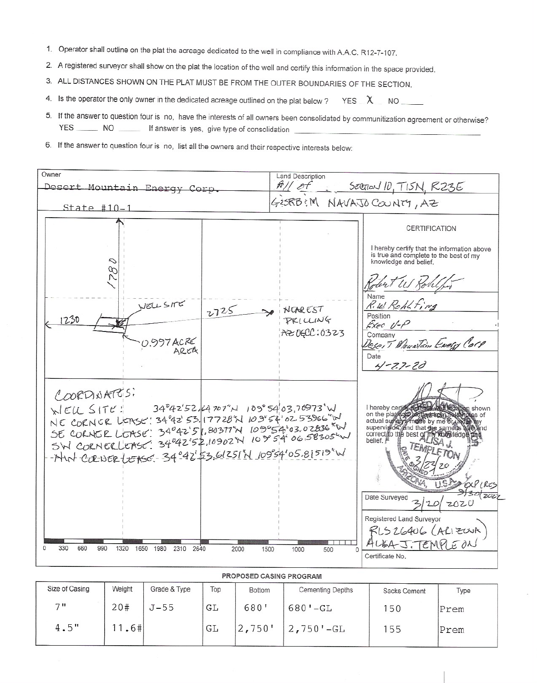- 1. Operator shall outline on the plat the acreage dedicated to the well in compliance with A.A.C. R12-7-107.
- 2. A registered surveyor shall show on the plat the location of the well and certify this information in the space provided.
- 3. ALL DISTANCES SHOWN ON THE PLAT MUST BE FROM THE OUTER BOUNDARIES OF THE SECTION.
- 4. Is the operator the only owner in the dedicated acreage outlined on the plat below ? YES  $X$  NO
- 5. If the answer to question four is no, have the interests of all owners been consolidated by communitization agreement or otherwise? YES NO If answer is yes, give type of consolidation
- 6. If the answer to question four is no, list all the owners and their respective interests below:

| SECTION ID, TISN, RZ3E<br>10 M/h<br>Desert Mountain Energy Corp<br>GESRB: M NAVAJO COUNTY, AZ<br>$State$ #10-1<br>CERTIFICATION<br>I hereby certify that the information above<br>is true and complete to the best of my<br>knowledge and belief.<br>S<br>Lear WS Ro<br><b>Name</b><br>R.W. Rohlfing<br>WELLSITE<br>NOAREST<br>2725<br>Position<br>1230<br>PRILLING<br>Exec U-P<br>AZ06CC:0323<br>Company<br>0.997 ACRE<br>Desert Meustain Every Corp<br>AREA<br>Date<br>$4-27-20$<br>COORDINATES:<br>WELL SITE: 34°42'52, 64707"N 109°54'03.70973'W<br>I hereby cerior (1709) 2021 1024 how on the playing professor of actual survey arms by me or matched the same of any or survey and that the same of and same of the same of $\frac{1}{2}$ and $\frac{1}{2}$ and $\frac{1}{2}$ and $\frac{1}{2}$<br>NE CORNER LEASE! 34 92 53. 17728"N 109"54' 02 53966"IN<br>SE CORNER LOASE: 34°42'51,80377'N 109°54'03.02836"W<br>SW CORNERLOASE: 34°42'52,10902'N 109 54'06.58305'W<br>correct to the best of T<br>Khowledge and<br>belief. P<br>- Nut corner LEASE 34°42' 53.61251'N 10954'05.81519"W<br>Date Surveyed<br>2020<br>Registered Land Surveyor | Owner | <b>Land Description</b> |                             |  |  |
|--------------------------------------------------------------------------------------------------------------------------------------------------------------------------------------------------------------------------------------------------------------------------------------------------------------------------------------------------------------------------------------------------------------------------------------------------------------------------------------------------------------------------------------------------------------------------------------------------------------------------------------------------------------------------------------------------------------------------------------------------------------------------------------------------------------------------------------------------------------------------------------------------------------------------------------------------------------------------------------------------------------------------------------------------------------------------------------------------------------------------------------------------------|-------|-------------------------|-----------------------------|--|--|
|                                                                                                                                                                                                                                                                                                                                                                                                                                                                                                                                                                                                                                                                                                                                                                                                                                                                                                                                                                                                                                                                                                                                                        |       |                         |                             |  |  |
|                                                                                                                                                                                                                                                                                                                                                                                                                                                                                                                                                                                                                                                                                                                                                                                                                                                                                                                                                                                                                                                                                                                                                        |       |                         |                             |  |  |
|                                                                                                                                                                                                                                                                                                                                                                                                                                                                                                                                                                                                                                                                                                                                                                                                                                                                                                                                                                                                                                                                                                                                                        |       |                         |                             |  |  |
| ALBA J. TEMPLE ON<br>990<br>330<br>660<br>1320<br>1650 1980<br>2310<br>2640<br>2000<br>1500<br>500<br>1000<br>Certificate No.                                                                                                                                                                                                                                                                                                                                                                                                                                                                                                                                                                                                                                                                                                                                                                                                                                                                                                                                                                                                                          |       |                         | 30(202<br>RLSZ6406 (ALIZONA |  |  |

| PROPOSED CASING PROGRAM |        |              |     |               |                                     |              |      |  |  |
|-------------------------|--------|--------------|-----|---------------|-------------------------------------|--------------|------|--|--|
| Size of Casing          | Weight | Grade & Type | Top | <b>Bottom</b> | Cementing Depths                    | Sacks Cement | Type |  |  |
| 711                     | 20#    | $J - 55$     | GL  | 680'          | $680'$ -GL                          | 50           | Prem |  |  |
| 4.5"                    | .6#    |              | GL  | 2,750'        | $2,750$ <sup><math>-GL</math></sup> | 55           | Prem |  |  |